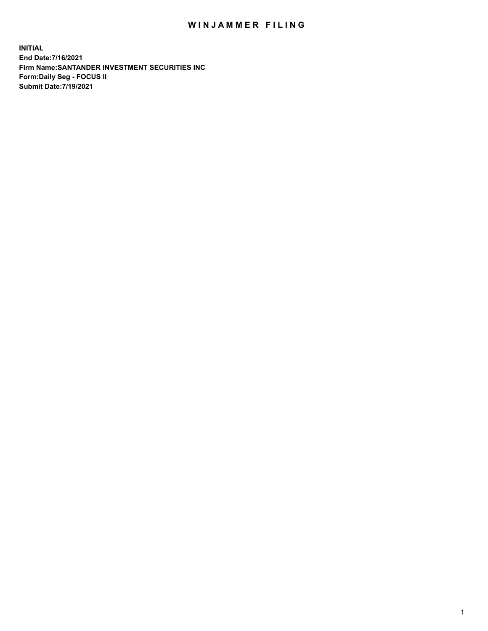## WIN JAMMER FILING

**INITIAL End Date:7/16/2021 Firm Name:SANTANDER INVESTMENT SECURITIES INC Form:Daily Seg - FOCUS II Submit Date:7/19/2021**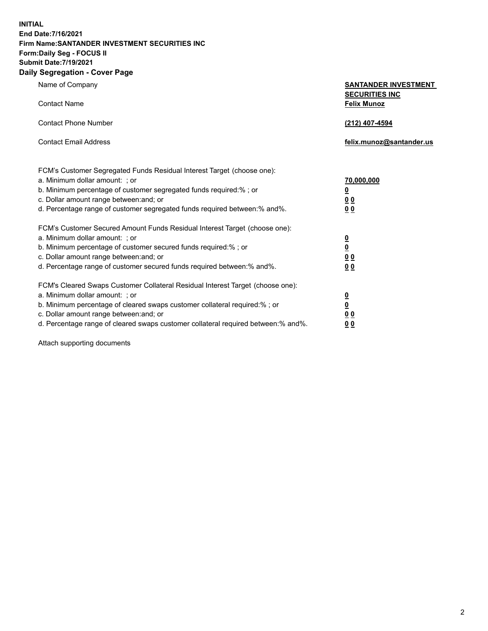**INITIAL End Date:7/16/2021 Firm Name:SANTANDER INVESTMENT SECURITIES INC Form:Daily Seg - FOCUS II Submit Date:7/19/2021 Daily Segregation - Cover Page**

| Name of Company<br><b>Contact Name</b>                                                                                                                                                                                                                                                                                         | <b>SANTANDER INVESTMENT</b><br><b>SECURITIES INC</b><br><b>Felix Munoz</b> |
|--------------------------------------------------------------------------------------------------------------------------------------------------------------------------------------------------------------------------------------------------------------------------------------------------------------------------------|----------------------------------------------------------------------------|
| <b>Contact Phone Number</b>                                                                                                                                                                                                                                                                                                    | (212) 407-4594                                                             |
| <b>Contact Email Address</b>                                                                                                                                                                                                                                                                                                   | felix.munoz@santander.us                                                   |
| FCM's Customer Segregated Funds Residual Interest Target (choose one):<br>a. Minimum dollar amount: ; or<br>b. Minimum percentage of customer segregated funds required:%; or<br>c. Dollar amount range between: and; or<br>d. Percentage range of customer segregated funds required between:% and%.                          | 70,000,000<br><u>0</u><br>0 <sub>0</sub><br>0 <sub>0</sub>                 |
| FCM's Customer Secured Amount Funds Residual Interest Target (choose one):<br>a. Minimum dollar amount: ; or<br>b. Minimum percentage of customer secured funds required:%; or<br>c. Dollar amount range between: and; or<br>d. Percentage range of customer secured funds required between:% and%.                            | $\frac{0}{0}$<br>0 <sub>0</sub><br>0 <sub>0</sub>                          |
| FCM's Cleared Swaps Customer Collateral Residual Interest Target (choose one):<br>a. Minimum dollar amount: ; or<br>b. Minimum percentage of cleared swaps customer collateral required:% ; or<br>c. Dollar amount range between: and; or<br>d. Percentage range of cleared swaps customer collateral required between:% and%. | $\frac{0}{0}$<br>0 <sub>0</sub><br>0 <sub>0</sub>                          |

Attach supporting documents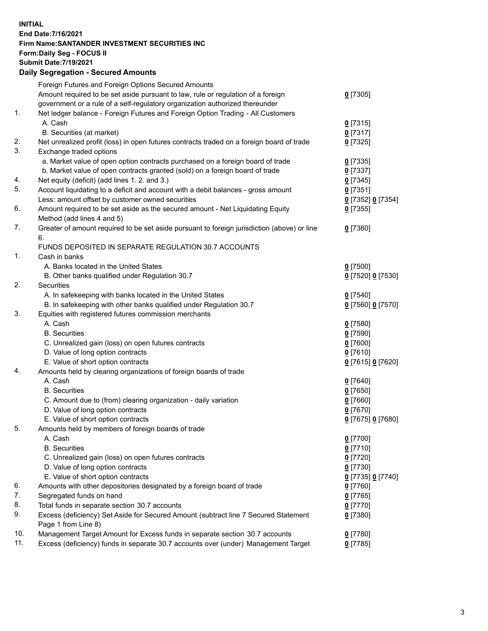**INITIAL End Date:7/16/2021 Firm Name:SANTANDER INVESTMENT SECURITIES INC Form:Daily Seg - FOCUS II Submit Date:7/19/2021 Daily Segregation - Secured Amounts**

|          | Foreign Futures and Foreign Options Secured Amounts                                                |                   |
|----------|----------------------------------------------------------------------------------------------------|-------------------|
|          | Amount required to be set aside pursuant to law, rule or regulation of a foreign                   | $0$ [7305]        |
|          | government or a rule of a self-regulatory organization authorized thereunder                       |                   |
| 1.       | Net ledger balance - Foreign Futures and Foreign Option Trading - All Customers                    |                   |
|          | A. Cash                                                                                            | $0$ [7315]        |
|          | B. Securities (at market)                                                                          | $0$ [7317]        |
| 2.       | Net unrealized profit (loss) in open futures contracts traded on a foreign board of trade          | $0$ [7325]        |
| 3.       | Exchange traded options                                                                            |                   |
|          | a. Market value of open option contracts purchased on a foreign board of trade                     | $0$ [7335]        |
|          | b. Market value of open contracts granted (sold) on a foreign board of trade                       | $0$ [7337]        |
| 4.       | Net equity (deficit) (add lines 1. 2. and 3.)                                                      | $0$ [7345]        |
| 5.       | Account liquidating to a deficit and account with a debit balances - gross amount                  | $0$ [7351]        |
|          | Less: amount offset by customer owned securities                                                   | 0 [7352] 0 [7354] |
| 6.       | Amount required to be set aside as the secured amount - Net Liquidating Equity                     | $0$ [7355]        |
|          | Method (add lines 4 and 5)                                                                         |                   |
| 7.       | Greater of amount required to be set aside pursuant to foreign jurisdiction (above) or line        | $0$ [7360]        |
|          | 6.                                                                                                 |                   |
|          | FUNDS DEPOSITED IN SEPARATE REGULATION 30.7 ACCOUNTS                                               |                   |
| 1.       | Cash in banks                                                                                      |                   |
|          | A. Banks located in the United States                                                              | $0$ [7500]        |
|          | B. Other banks qualified under Regulation 30.7                                                     | 0 [7520] 0 [7530] |
| 2.       | <b>Securities</b>                                                                                  |                   |
|          | A. In safekeeping with banks located in the United States                                          | $0$ [7540]        |
|          | B. In safekeeping with other banks qualified under Regulation 30.7                                 | 0 [7560] 0 [7570] |
| 3.       | Equities with registered futures commission merchants                                              |                   |
|          | A. Cash                                                                                            | $0$ [7580]        |
|          | <b>B.</b> Securities                                                                               | $0$ [7590]        |
|          | C. Unrealized gain (loss) on open futures contracts                                                | $0$ [7600]        |
|          | D. Value of long option contracts                                                                  | $0$ [7610]        |
|          | E. Value of short option contracts                                                                 | 0 [7615] 0 [7620] |
| 4.       | Amounts held by clearing organizations of foreign boards of trade                                  |                   |
|          | A. Cash                                                                                            | $0$ [7640]        |
|          | <b>B.</b> Securities                                                                               | $0$ [7650]        |
|          | C. Amount due to (from) clearing organization - daily variation                                    | $0$ [7660]        |
|          | D. Value of long option contracts                                                                  | $0$ [7670]        |
|          | E. Value of short option contracts                                                                 | 0 [7675] 0 [7680] |
| 5.       | Amounts held by members of foreign boards of trade                                                 |                   |
|          | A. Cash                                                                                            | 0 [7700]          |
|          | <b>B.</b> Securities                                                                               | $0$ [7710]        |
|          | C. Unrealized gain (loss) on open futures contracts                                                | $0$ [7720]        |
|          | D. Value of long option contracts                                                                  | $0$ [7730]        |
|          | E. Value of short option contracts                                                                 | 0 [7735] 0 [7740] |
| 6.       | Amounts with other depositories designated by a foreign board of trade                             | $0$ [7760]        |
| 7.       | Segregated funds on hand                                                                           | $0$ [7765]        |
| 8.<br>9. | Total funds in separate section 30.7 accounts                                                      | $0$ [7770]        |
|          | Excess (deficiency) Set Aside for Secured Amount (subtract line 7 Secured Statement                | $0$ [7380]        |
| 10.      | Page 1 from Line 8)<br>Management Target Amount for Excess funds in separate section 30.7 accounts | $0$ [7780]        |
| 11.      | Excess (deficiency) funds in separate 30.7 accounts over (under) Management Target                 | $0$ [7785]        |
|          |                                                                                                    |                   |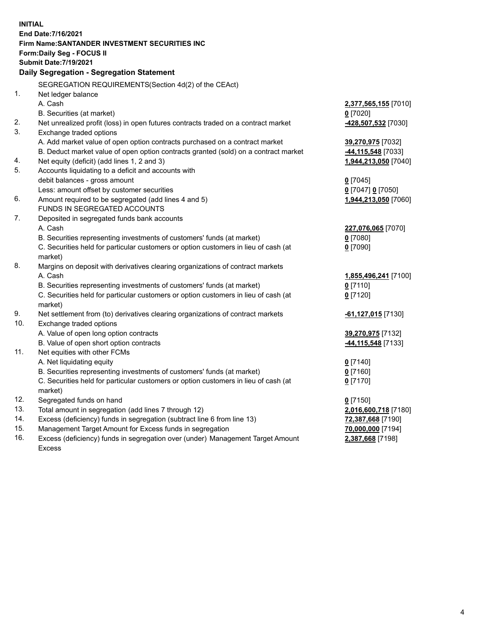| <b>INITIAL</b> |                                                                                           |                           |  |  |  |  |
|----------------|-------------------------------------------------------------------------------------------|---------------------------|--|--|--|--|
|                | End Date: 7/16/2021                                                                       |                           |  |  |  |  |
|                | Firm Name: SANTANDER INVESTMENT SECURITIES INC                                            |                           |  |  |  |  |
|                | Form: Daily Seg - FOCUS II                                                                |                           |  |  |  |  |
|                | <b>Submit Date: 7/19/2021</b>                                                             |                           |  |  |  |  |
|                | Daily Segregation - Segregation Statement                                                 |                           |  |  |  |  |
|                | SEGREGATION REQUIREMENTS(Section 4d(2) of the CEAct)                                      |                           |  |  |  |  |
| 1.             | Net ledger balance                                                                        |                           |  |  |  |  |
|                | A. Cash                                                                                   | 2,377,565,155 [7010]      |  |  |  |  |
|                | B. Securities (at market)                                                                 | $0$ [7020]                |  |  |  |  |
| 2.             | Net unrealized profit (loss) in open futures contracts traded on a contract market        | 428,507,532 [7030]        |  |  |  |  |
| 3.             | Exchange traded options                                                                   |                           |  |  |  |  |
|                | A. Add market value of open option contracts purchased on a contract market               | 39,270,975 [7032]         |  |  |  |  |
|                | B. Deduct market value of open option contracts granted (sold) on a contract market       | -44,115,548 [7033]        |  |  |  |  |
| 4.             | Net equity (deficit) (add lines 1, 2 and 3)                                               | 1,944,213,050 [7040]      |  |  |  |  |
| 5.             | Accounts liquidating to a deficit and accounts with                                       |                           |  |  |  |  |
|                | debit balances - gross amount                                                             | $0$ [7045]                |  |  |  |  |
|                | Less: amount offset by customer securities                                                | 0 [7047] 0 [7050]         |  |  |  |  |
| 6.             | Amount required to be segregated (add lines 4 and 5)                                      | 1,944,213,050 [7060]      |  |  |  |  |
|                | FUNDS IN SEGREGATED ACCOUNTS                                                              |                           |  |  |  |  |
| 7.             | Deposited in segregated funds bank accounts                                               |                           |  |  |  |  |
|                | A. Cash                                                                                   | 227,076,065 [7070]        |  |  |  |  |
|                | B. Securities representing investments of customers' funds (at market)                    | $0$ [7080]                |  |  |  |  |
|                | C. Securities held for particular customers or option customers in lieu of cash (at       | $0$ [7090]                |  |  |  |  |
| 8.             | market)                                                                                   |                           |  |  |  |  |
|                | Margins on deposit with derivatives clearing organizations of contract markets<br>A. Cash | 1,855,496,241 [7100]      |  |  |  |  |
|                | B. Securities representing investments of customers' funds (at market)                    | $0$ [7110]                |  |  |  |  |
|                | C. Securities held for particular customers or option customers in lieu of cash (at       | $0$ [7120]                |  |  |  |  |
|                | market)                                                                                   |                           |  |  |  |  |
| 9.             | Net settlement from (to) derivatives clearing organizations of contract markets           | <b>-61,127,015</b> [7130] |  |  |  |  |
| 10.            | Exchange traded options                                                                   |                           |  |  |  |  |
|                | A. Value of open long option contracts                                                    | 39,270,975 [7132]         |  |  |  |  |
|                | B. Value of open short option contracts                                                   | 44,115,548 [7133]         |  |  |  |  |
| 11.            | Net equities with other FCMs                                                              |                           |  |  |  |  |
|                | A. Net liquidating equity                                                                 | $0$ [7140]                |  |  |  |  |
|                | B. Securities representing investments of customers' funds (at market)                    | $0$ [7160]                |  |  |  |  |
|                | C. Securities held for particular customers or option customers in lieu of cash (at       | $0$ [7170]                |  |  |  |  |
|                | market)                                                                                   |                           |  |  |  |  |
| 12.            | Segregated funds on hand                                                                  | $0$ [7150]                |  |  |  |  |
| 13.            | Total amount in segregation (add lines 7 through 12)                                      | 2,016,600,718 [7180]      |  |  |  |  |
| 14.            | Excess (deficiency) funds in segregation (subtract line 6 from line 13)                   | 72,387,668 [7190]         |  |  |  |  |
| 15.            | Management Target Amount for Excess funds in segregation                                  | 70,000,000 [7194]         |  |  |  |  |
| 16.            | Excess (deficiency) funds in segregation over (under) Management Target Amount            | 2,387,668 [7198]          |  |  |  |  |
|                | <b>Excess</b>                                                                             |                           |  |  |  |  |